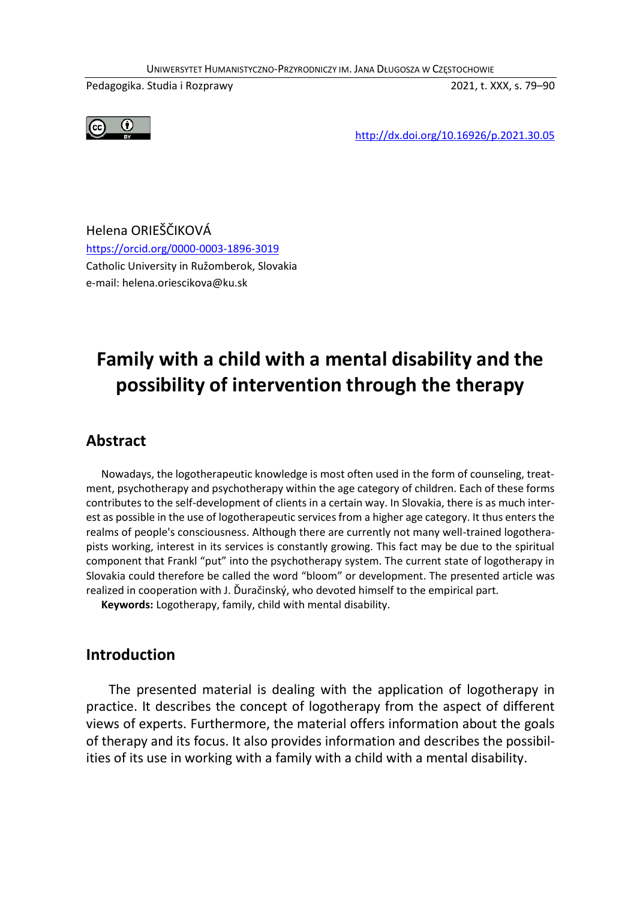UNIWERSYTET HUMANISTYCZNO-PRZYRODNICZY IM. JANA DŁUGOSZA W CZĘSTOCHOWIE

Pedagogika. Studia i Rozprawy 2021, t. XXX, s. 79–90



http://dx.doi.org/10.16926/p.2021.30.05

Helena ORIEŠČIKOVÁ https://orcid.org/0000-0003-1896-3019 Catholic University in Ružomberok, Slovakia e-mail: helena.oriescikova@ku.sk

# **Family with a child with a mental disability and the possibility of intervention through the therapy**

#### **Abstract**

Nowadays, the logotherapeutic knowledge is most often used in the form of counseling, treatment, psychotherapy and psychotherapy within the age category of children. Each of these forms contributes to the self-development of clients in a certain way. In Slovakia, there is as much interest as possible in the use of logotherapeutic services from a higher age category. It thus enters the realms of people's consciousness. Although there are currently not many well-trained logotherapists working, interest in its services is constantly growing. This fact may be due to the spiritual component that Frankl "put" into the psychotherapy system. The current state of logotherapy in Slovakia could therefore be called the word "bloom" or development. The presented article was realized in cooperation with J. Ďuračinský, who devoted himself to the empirical part.

**Keywords:** Logotherapy, family, child with mental disability.

#### **Introduction**

The presented material is dealing with the application of logotherapy in practice. It describes the concept of logotherapy from the aspect of different views of experts. Furthermore, the material offers information about the goals of therapy and its focus. It also provides information and describes the possibilities of its use in working with a family with a child with a mental disability.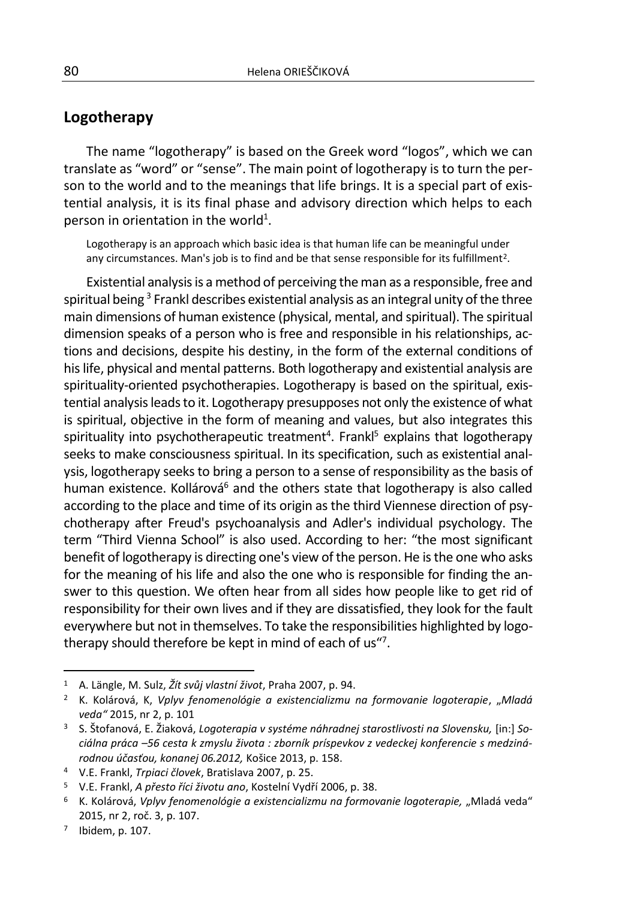#### **Logotherapy**

The name "logotherapy" is based on the Greek word "logos", which we can translate as "word" or "sense". The main point of logotherapy is to turn the person to the world and to the meanings that life brings. It is a special part of existential analysis, it is its final phase and advisory direction which helps to each person in orientation in the world<sup>1</sup>.

Logotherapy is an approach which basic idea is that human life can be meaningful under any circumstances. Man's job is to find and be that sense responsible for its fulfillment<sup>2</sup>.

Existential analysis is a method of perceiving the man as a responsible, free and spiritual being  $^3$  Frankl describes existential analysis as an integral unity of the three main dimensions of human existence (physical, mental, and spiritual). The spiritual dimension speaks of a person who is free and responsible in his relationships, actions and decisions, despite his destiny, in the form of the external conditions of his life, physical and mental patterns. Both logotherapy and existential analysis are spirituality-oriented psychotherapies. Logotherapy is based on the spiritual, existential analysis leadsto it. Logotherapy presupposes not only the existence of what is spiritual, objective in the form of meaning and values, but also integrates this spirituality into psychotherapeutic treatment<sup>4</sup>. Frankl<sup>5</sup> explains that logotherapy seeks to make consciousness spiritual. In its specification, such as existential analysis, logotherapy seeks to bring a person to a sense of responsibility as the basis of human existence. Kollárová<sup>6</sup> and the others state that logotherapy is also called according to the place and time of its origin as the third Viennese direction of psychotherapy after Freud's psychoanalysis and Adler's individual psychology. The term "Third Vienna School" is also used. According to her: "the most significant benefit of logotherapy is directing one's view of the person. He is the one who asks for the meaning of his life and also the one who is responsible for finding the answer to this question. We often hear from all sides how people like to get rid of responsibility for their own lives and if they are dissatisfied, they look for the fault everywhere but not in themselves. To take the responsibilities highlighted by logotherapy should therefore be kept in mind of each of us"<sup>7</sup>.

 $\overline{a}$ 

<sup>1</sup> A. Längle, M. Sulz, *Žít svůj vlastní život*, Praha 2007, p. 94.

<sup>&</sup>lt;sup>2</sup> K. Kolárová, K, Vplyv fenomenológie a existencializmu na formovanie logoterapie, "Mladá *veda"* 2015, nr 2, p. 101

<sup>3</sup> S. Štofanová, E. Žiaková, *Logoterapia v systéme náhradnej starostlivosti na Slovensku,* [in:] *Sociálna práca –56 cesta k zmyslu života : zborník príspevkov z vedeckej konferencie s medzinárodnou účasťou, konanej 06.2012,* Košice 2013, p. 158.

<sup>4</sup> V.E. Frankl, *Trpiaci človek*, Bratislava 2007, p. 25.

<sup>5</sup> V.E. Frankl, *A přesto říci životu ano*, Kostelní Vydří 2006, p. 38.

<sup>&</sup>lt;sup>6</sup> K. Kolárová, *Vplyv fenomenológie a existencializmu na formovanie logoterapie, "Mladá veda"* 2015, nr 2, roč. 3, p. 107.

<sup>7</sup> Ibidem, p. 107.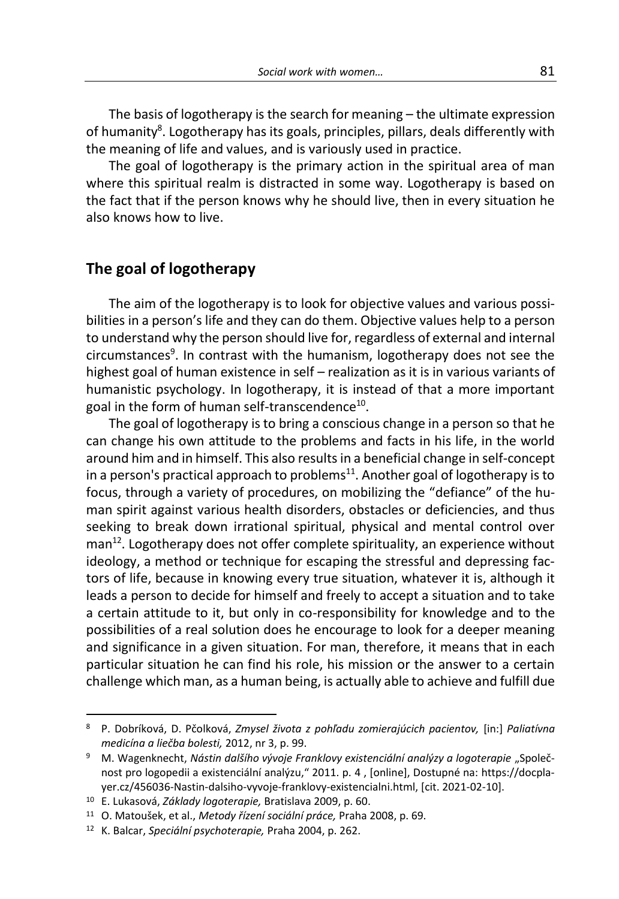The basis of logotherapy is the search for meaning – the ultimate expression of humanity<sup>8</sup>. Logotherapy has its goals, principles, pillars, deals differently with the meaning of life and values, and is variously used in practice.

The goal of logotherapy is the primary action in the spiritual area of man where this spiritual realm is distracted in some way. Logotherapy is based on the fact that if the person knows why he should live, then in every situation he also knows how to live.

#### **The goal of logotherapy**

The aim of the logotherapy is to look for objective values and various possibilities in a person's life and they can do them. Objective values help to a person to understand why the person should live for, regardless of external and internal circumstances<sup>9</sup>. In contrast with the humanism, logotherapy does not see the highest goal of human existence in self – realization as it is in various variants of humanistic psychology. In logotherapy, it is instead of that a more important goal in the form of human self-transcendence<sup>10</sup>.

The goal of logotherapy is to bring a conscious change in a person so that he can change his own attitude to the problems and facts in his life, in the world around him and in himself. This also results in a beneficial change in self-concept in a person's practical approach to problems<sup>11</sup>. Another goal of logotherapy is to focus, through a variety of procedures, on mobilizing the "defiance" of the human spirit against various health disorders, obstacles or deficiencies, and thus seeking to break down irrational spiritual, physical and mental control over man<sup>12</sup>. Logotherapy does not offer complete spirituality, an experience without ideology, a method or technique for escaping the stressful and depressing factors of life, because in knowing every true situation, whatever it is, although it leads a person to decide for himself and freely to accept a situation and to take a certain attitude to it, but only in co-responsibility for knowledge and to the possibilities of a real solution does he encourage to look for a deeper meaning and significance in a given situation. For man, therefore, it means that in each particular situation he can find his role, his mission or the answer to a certain challenge which man, as a human being, is actually able to achieve and fulfill due

-

<sup>8</sup> P. Dobríková, D. Pčolková, *Zmysel života z pohľadu zomierajúcich pacientov,* [in:] *Paliatívna medicína a liečba bolesti,* 2012, nr 3, p. 99.

<sup>&</sup>lt;sup>9</sup> M. Wagenknecht, Nástin dalšího vývoje Franklovy existenciální analýzy a logoterapie "Společnost pro logopedii a existenciální analýzu," 2011. p. 4 , [online], Dostupné na: https://docplayer.cz/456036-Nastin-dalsiho-vyvoje-franklovy-existencialni.html, [cit. 2021-02-10].

<sup>10</sup> E. Lukasová, *Základy logoterapie,* Bratislava 2009, p. 60.

<sup>11</sup> O. Matoušek, et al., *Metody řízení sociální práce,* Praha 2008, p. 69.

<sup>12</sup> K. Balcar, *Speciální psychoterapie,* Praha 2004, p. 262.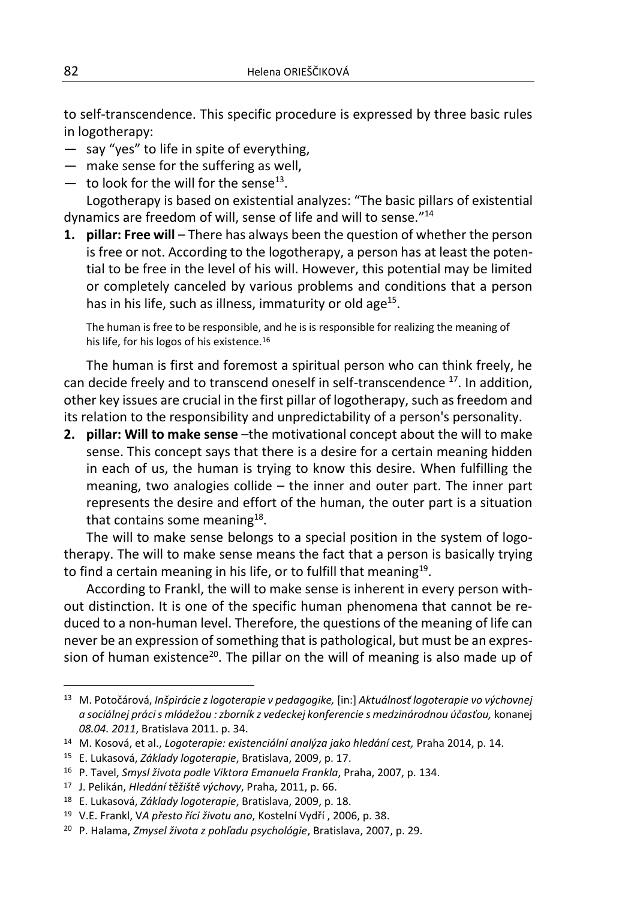to self-transcendence. This specific procedure is expressed by three basic rules in logotherapy:

- say "yes" to life in spite of everything,
- make sense for the suffering as well,
- $-$  to look for the will for the sense<sup>13</sup>.

Logotherapy is based on existential analyzes: "The basic pillars of existential dynamics are freedom of will, sense of life and will to sense."<sup>14</sup>

**1. pillar: Free will** – There has always been the question of whether the person is free or not. According to the logotherapy, a person has at least the potential to be free in the level of his will. However, this potential may be limited or completely canceled by various problems and conditions that a person has in his life, such as illness, immaturity or old age $^{15}$ .

The human is free to be responsible, and he is is responsible for realizing the meaning of his life, for his logos of his existence.<sup>16</sup>

The human is first and foremost a spiritual person who can think freely, he can decide freely and to transcend oneself in self-transcendence <sup>17</sup>. In addition, other key issues are crucial in the first pillar of logotherapy, such as freedom and its relation to the responsibility and unpredictability of a person's personality.

**2. pillar: Will to make sense** –the motivational concept about the will to make sense. This concept says that there is a desire for a certain meaning hidden in each of us, the human is trying to know this desire. When fulfilling the meaning, two analogies collide – the inner and outer part. The inner part represents the desire and effort of the human, the outer part is a situation that contains some meaning<sup>18</sup>.

The will to make sense belongs to a special position in the system of logotherapy. The will to make sense means the fact that a person is basically trying to find a certain meaning in his life, or to fulfill that meaning $^{19}$ .

According to Frankl, the will to make sense is inherent in every person without distinction. It is one of the specific human phenomena that cannot be reduced to a non-human level. Therefore, the questions of the meaning of life can never be an expression of something that is pathological, but must be an expression of human existence<sup>20</sup>. The pillar on the will of meaning is also made up of

<sup>13</sup> M. Potočárová, *Inšpirácie z logoterapie v pedagogike,* [in:] *Aktuálnosť logoterapie vo výchovnej a sociálnej práci s mládežou : zborník z vedeckej konferencie s medzinárodnou účasťou,* konanej *08.04. 2011*, Bratislava 2011. p. 34.

<sup>14</sup> M. Kosová, et al., *Logoterapie: existenciální analýza jako hledání cest,* Praha 2014, p. 14.

<sup>15</sup> E. Lukasová, *Základy logoterapie*, Bratislava, 2009, p. 17.

<sup>16</sup> P. Tavel, *Smysl života podle Viktora Emanuela Frankla*, Praha, 2007, p. 134.

<sup>17</sup> J. Pelikán, *Hledání těžiště výchovy*, Praha, 2011, p. 66.

<sup>18</sup> E. Lukasová, *Základy logoterapie*, Bratislava, 2009, p. 18.

<sup>19</sup> V.E. Frankl, V*A přesto říci životu ano*, Kostelní Vydří , 2006, p. 38.

<sup>20</sup> P. Halama, *Zmysel života z pohľadu psychológie*, Bratislava, 2007, p. 29.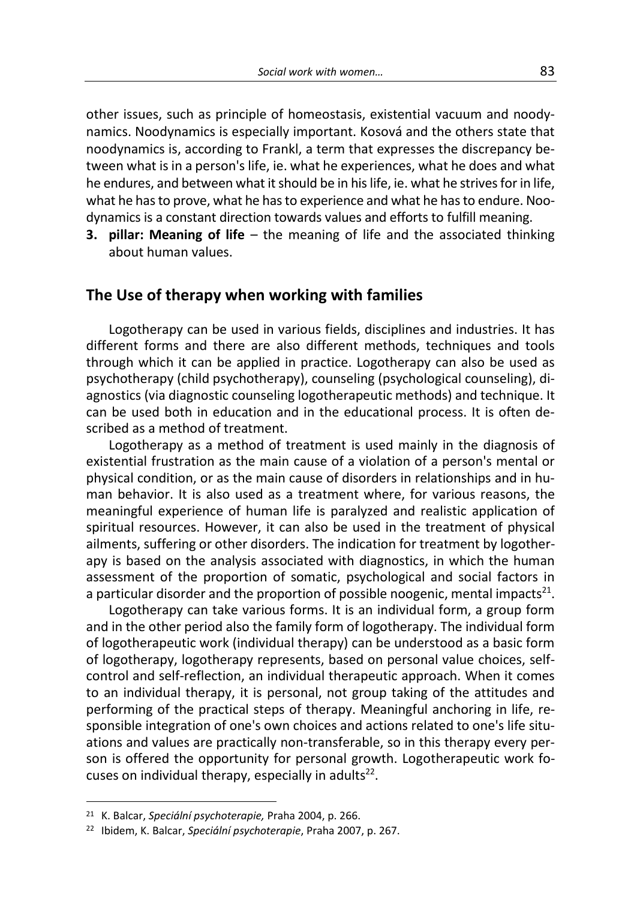other issues, such as principle of homeostasis, existential vacuum and noodynamics. Noodynamics is especially important. Kosová and the others state that noodynamics is, according to Frankl, a term that expresses the discrepancy between what is in a person's life, ie. what he experiences, what he does and what he endures, and between what it should be in his life, ie. what he strives for in life, what he has to prove, what he has to experience and what he has to endure. Noodynamics is a constant direction towards values and efforts to fulfill meaning.

**3. pillar: Meaning of life** – the meaning of life and the associated thinking about human values.

#### **The Use of therapy when working with families**

Logotherapy can be used in various fields, disciplines and industries. It has different forms and there are also different methods, techniques and tools through which it can be applied in practice. Logotherapy can also be used as psychotherapy (child psychotherapy), counseling (psychological counseling), diagnostics (via diagnostic counseling logotherapeutic methods) and technique. It can be used both in education and in the educational process. It is often described as a method of treatment.

Logotherapy as a method of treatment is used mainly in the diagnosis of existential frustration as the main cause of a violation of a person's mental or physical condition, or as the main cause of disorders in relationships and in human behavior. It is also used as a treatment where, for various reasons, the meaningful experience of human life is paralyzed and realistic application of spiritual resources. However, it can also be used in the treatment of physical ailments, suffering or other disorders. The indication for treatment by logotherapy is based on the analysis associated with diagnostics, in which the human assessment of the proportion of somatic, psychological and social factors in a particular disorder and the proportion of possible noogenic, mental impacts<sup>21</sup>.

Logotherapy can take various forms. It is an individual form, a group form and in the other period also the family form of logotherapy. The individual form of logotherapeutic work (individual therapy) can be understood as a basic form of logotherapy, logotherapy represents, based on personal value choices, selfcontrol and self-reflection, an individual therapeutic approach. When it comes to an individual therapy, it is personal, not group taking of the attitudes and performing of the practical steps of therapy. Meaningful anchoring in life, responsible integration of one's own choices and actions related to one's life situations and values are practically non-transferable, so in this therapy every person is offered the opportunity for personal growth. Logotherapeutic work focuses on individual therapy, especially in adults<sup>22</sup>.

-

<sup>21</sup> K. Balcar, *Speciální psychoterapie,* Praha 2004, p. 266.

<sup>22</sup> Ibidem, K. Balcar, *Speciální psychoterapie*, Praha 2007, p. 267.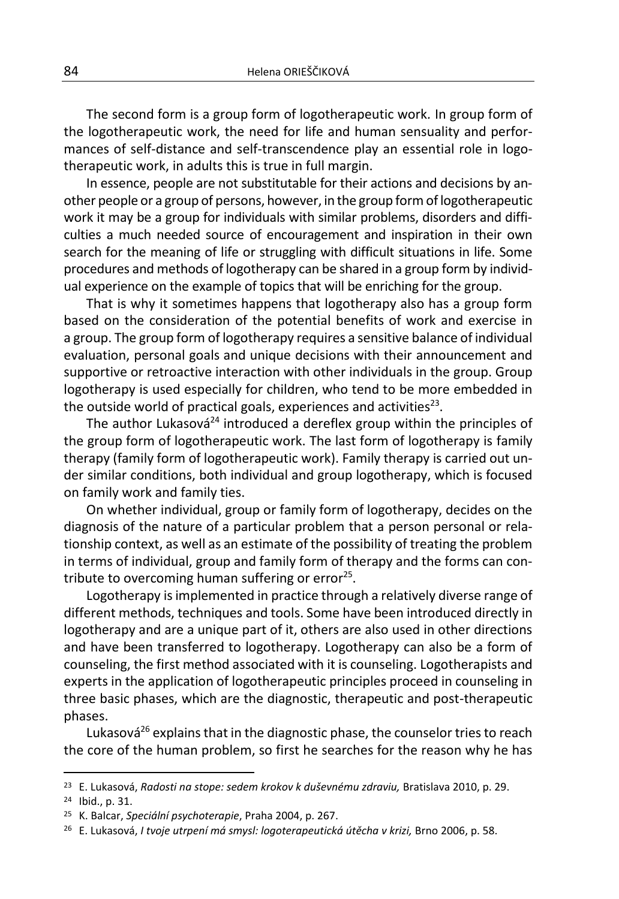The second form is a group form of logotherapeutic work*.* In group form of the logotherapeutic work, the need for life and human sensuality and performances of self-distance and self-transcendence play an essential role in logotherapeutic work, in adults this is true in full margin.

In essence, people are not substitutable for their actions and decisions by another people or a group of persons, however, in the group form of logotherapeutic work it may be a group for individuals with similar problems, disorders and difficulties a much needed source of encouragement and inspiration in their own search for the meaning of life or struggling with difficult situations in life. Some procedures and methods of logotherapy can be shared in a group form by individual experience on the example of topics that will be enriching for the group.

That is why it sometimes happens that logotherapy also has a group form based on the consideration of the potential benefits of work and exercise in a group. The group form of logotherapy requires a sensitive balance of individual evaluation, personal goals and unique decisions with their announcement and supportive or retroactive interaction with other individuals in the group. Group logotherapy is used especially for children, who tend to be more embedded in the outside world of practical goals, experiences and activities<sup>23</sup>.

The author Lukasová $^{24}$  introduced a dereflex group within the principles of the group form of logotherapeutic work. The last form of logotherapy is family therapy (family form of logotherapeutic work). Family therapy is carried out under similar conditions, both individual and group logotherapy, which is focused on family work and family ties.

On whether individual, group or family form of logotherapy, decides on the diagnosis of the nature of a particular problem that a person personal or relationship context, as well as an estimate of the possibility of treating the problem in terms of individual, group and family form of therapy and the forms can contribute to overcoming human suffering or error<sup>25</sup>.

Logotherapy is implemented in practice through a relatively diverse range of different methods, techniques and tools. Some have been introduced directly in logotherapy and are a unique part of it, others are also used in other directions and have been transferred to logotherapy. Logotherapy can also be a form of counseling, the first method associated with it is counseling. Logotherapists and experts in the application of logotherapeutic principles proceed in counseling in three basic phases, which are the diagnostic, therapeutic and post-therapeutic phases.

Lukasová $^{26}$  explains that in the diagnostic phase, the counselor tries to reach the core of the human problem, so first he searches for the reason why he has

<sup>24</sup> Ibid., p. 31.

<sup>23</sup> E. Lukasová, *Radosti na stope: sedem krokov k duševnému zdraviu,* Bratislava 2010, p. 29.

<sup>25</sup> K. Balcar, *Speciální psychoterapie*, Praha 2004, p. 267.

<sup>26</sup> E. Lukasová, *I tvoje utrpení má smysl: logoterapeutická útěcha v krizi,* Brno 2006, p. 58.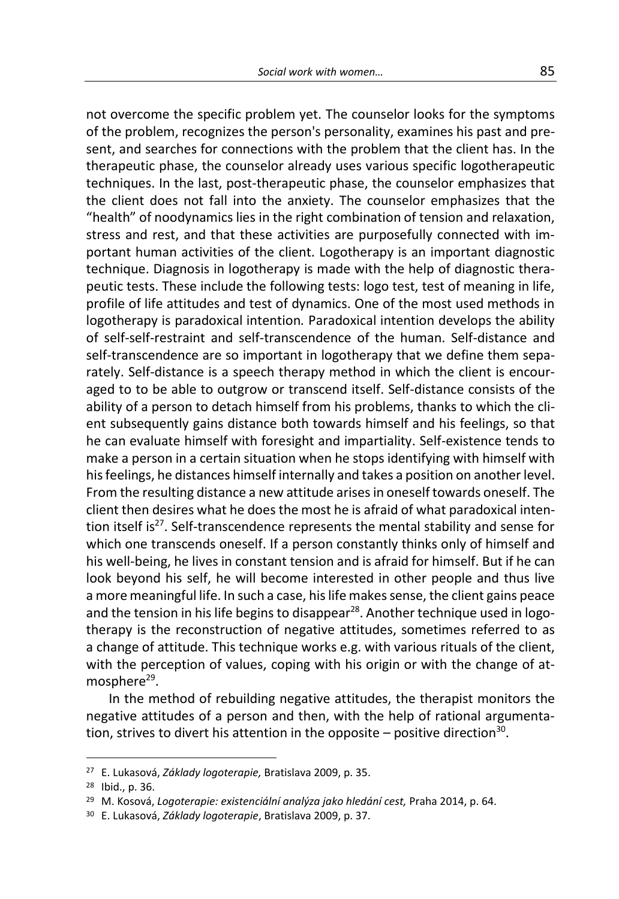not overcome the specific problem yet. The counselor looks for the symptoms of the problem, recognizes the person's personality, examines his past and present, and searches for connections with the problem that the client has. In the therapeutic phase, the counselor already uses various specific logotherapeutic techniques. In the last, post-therapeutic phase, the counselor emphasizes that the client does not fall into the anxiety. The counselor emphasizes that the "health" of noodynamics lies in the right combination of tension and relaxation, stress and rest, and that these activities are purposefully connected with important human activities of the client. Logotherapy is an important diagnostic technique. Diagnosis in logotherapy is made with the help of diagnostic therapeutic tests. These include the following tests: logo test, test of meaning in life, profile of life attitudes and test of dynamics. One of the most used methods in logotherapy is paradoxical intention*.* Paradoxical intention develops the ability of self-self-restraint and self-transcendence of the human. Self-distance and self-transcendence are so important in logotherapy that we define them separately. Self-distance is a speech therapy method in which the client is encouraged to to be able to outgrow or transcend itself. Self-distance consists of the ability of a person to detach himself from his problems, thanks to which the client subsequently gains distance both towards himself and his feelings, so that he can evaluate himself with foresight and impartiality. Self-existence tends to make a person in a certain situation when he stops identifying with himself with his feelings, he distances himself internally and takes a position on another level. From the resulting distance a new attitude arises in oneself towards oneself. The client then desires what he does the most he is afraid of what paradoxical intention itself is $27$ . Self-transcendence represents the mental stability and sense for which one transcends oneself. If a person constantly thinks only of himself and his well-being, he lives in constant tension and is afraid for himself. But if he can look beyond his self, he will become interested in other people and thus live a more meaningful life. In such a case, his life makes sense, the client gains peace and the tension in his life begins to disappear $^{28}$ . Another technique used in logotherapy is the reconstruction of negative attitudes, sometimes referred to as a change of attitude. This technique works e.g. with various rituals of the client, with the perception of values, coping with his origin or with the change of atmosphere<sup>29</sup>.

In the method of rebuilding negative attitudes, the therapist monitors the negative attitudes of a person and then, with the help of rational argumentation, strives to divert his attention in the opposite  $-$  positive direction<sup>30</sup>.

-

<sup>27</sup> E. Lukasová, *Základy logoterapie,* Bratislava 2009, p. 35.

<sup>28</sup> Ibid., p. 36.

<sup>29</sup> M. Kosová, *Logoterapie: existenciální analýza jako hledání cest,* Praha 2014, p. 64.

<sup>30</sup> E. Lukasová, *Základy logoterapie*, Bratislava 2009, p. 37.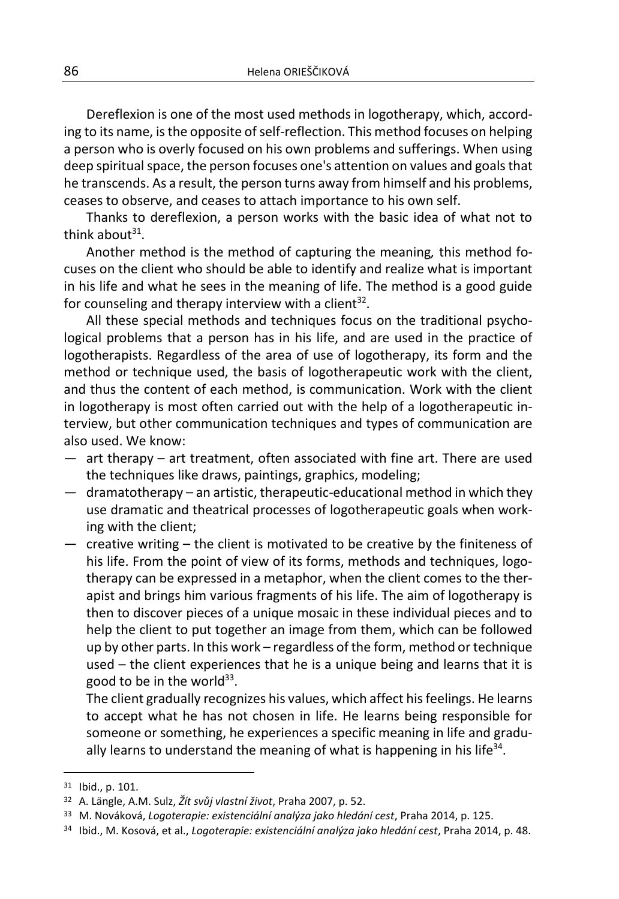Dereflexion is one of the most used methods in logotherapy, which, according to its name, is the opposite of self-reflection. This method focuses on helping a person who is overly focused on his own problems and sufferings. When using deep spiritual space, the person focuses one's attention on values and goals that he transcends. As a result, the person turns away from himself and his problems, ceases to observe, and ceases to attach importance to his own self.

Thanks to dereflexion, a person works with the basic idea of what not to think about $31$ .

Another method is the method of capturing the meaning*,* this method focuses on the client who should be able to identify and realize what is important in his life and what he sees in the meaning of life. The method is a good guide for counseling and therapy interview with a client<sup>32</sup>.

All these special methods and techniques focus on the traditional psychological problems that a person has in his life, and are used in the practice of logotherapists. Regardless of the area of use of logotherapy, its form and the method or technique used, the basis of logotherapeutic work with the client, and thus the content of each method, is communication. Work with the client in logotherapy is most often carried out with the help of a logotherapeutic interview, but other communication techniques and types of communication are also used. We know:

- art therapy art treatment, often associated with fine art. There are used the techniques like draws, paintings, graphics, modeling;
- dramatotherapy an artistic, therapeutic-educational method in which they use dramatic and theatrical processes of logotherapeutic goals when working with the client;
- creative writing the client is motivated to be creative by the finiteness of his life. From the point of view of its forms, methods and techniques, logotherapy can be expressed in a metaphor, when the client comes to the therapist and brings him various fragments of his life. The aim of logotherapy is then to discover pieces of a unique mosaic in these individual pieces and to help the client to put together an image from them, which can be followed up by other parts. In this work – regardless of the form, method or technique used – the client experiences that he is a unique being and learns that it is good to be in the world $^{33}$ .

The client gradually recognizes his values, which affect his feelings. He learns to accept what he has not chosen in life. He learns being responsible for someone or something, he experiences a specific meaning in life and gradually learns to understand the meaning of what is happening in his life<sup>34</sup>.

<sup>31</sup> Ibid., p. 101.

<sup>32</sup> A. Längle, A.M. Sulz, *Žít svůj vlastní život*, Praha 2007, p. 52.

<sup>33</sup> M. Nováková, *Logoterapie: existenciální analýza jako hledání cest*, Praha 2014, p. 125.

<sup>34</sup> Ibid., M. Kosová, et al., *Logoterapie: existenciální analýza jako hledání cest*, Praha 2014, p. 48.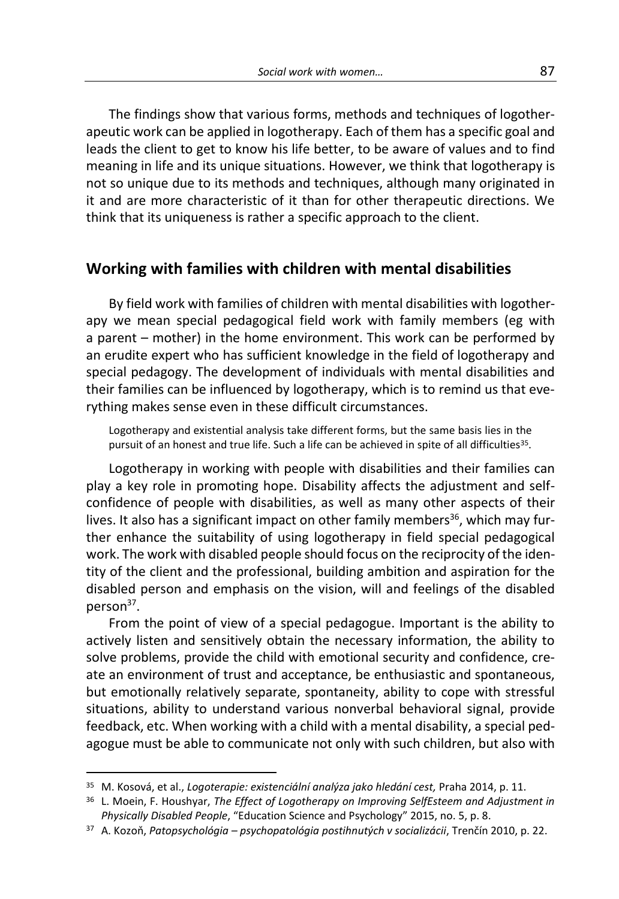The findings show that various forms, methods and techniques of logotherapeutic work can be applied in logotherapy. Each of them has a specific goal and leads the client to get to know his life better, to be aware of values and to find meaning in life and its unique situations. However, we think that logotherapy is not so unique due to its methods and techniques, although many originated in it and are more characteristic of it than for other therapeutic directions. We think that its uniqueness is rather a specific approach to the client.

### **Working with families with children with mental disabilities**

By field work with families of children with mental disabilities with logotherapy we mean special pedagogical field work with family members (eg with a parent – mother) in the home environment. This work can be performed by an erudite expert who has sufficient knowledge in the field of logotherapy and special pedagogy. The development of individuals with mental disabilities and their families can be influenced by logotherapy, which is to remind us that everything makes sense even in these difficult circumstances.

Logotherapy and existential analysis take different forms, but the same basis lies in the pursuit of an honest and true life. Such a life can be achieved in spite of all difficulties<sup>35</sup>.

Logotherapy in working with people with disabilities and their families can play a key role in promoting hope. Disability affects the adjustment and selfconfidence of people with disabilities, as well as many other aspects of their lives. It also has a significant impact on other family members<sup>36</sup>, which may further enhance the suitability of using logotherapy in field special pedagogical work. The work with disabled people should focus on the reciprocity of the identity of the client and the professional, building ambition and aspiration for the disabled person and emphasis on the vision, will and feelings of the disabled person<sup>37</sup>.

From the point of view of a special pedagogue. Important is the ability to actively listen and sensitively obtain the necessary information, the ability to solve problems, provide the child with emotional security and confidence, create an environment of trust and acceptance, be enthusiastic and spontaneous, but emotionally relatively separate, spontaneity, ability to cope with stressful situations, ability to understand various nonverbal behavioral signal, provide feedback, etc. When working with a child with a mental disability, a special pedagogue must be able to communicate not only with such children, but also with

<sup>35</sup> M. Kosová, et al., *Logoterapie: existenciální analýza jako hledání cest,* Praha 2014, p. 11.

<sup>36</sup> L. Moein, F. Houshyar, *The Effect of Logotherapy on Improving SelfEsteem and Adjustment in Physically Disabled People*, "Education Science and Psychology" 2015, no. 5, p. 8.

<sup>37</sup> A. Kozoň, *Patopsychológia – psychopatológia postihnutých v socializácii*, Trenčín 2010, p. 22.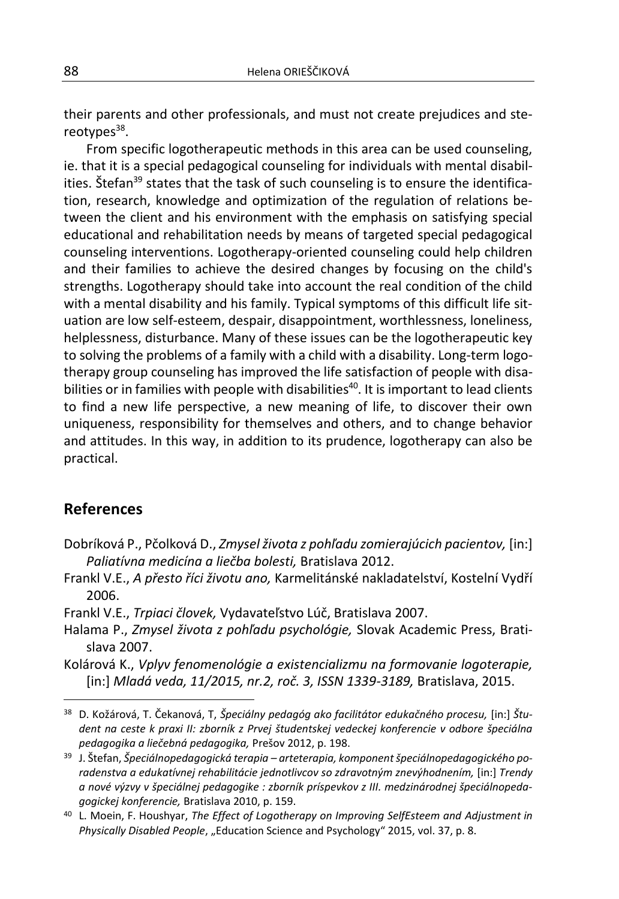their parents and other professionals, and must not create prejudices and stereotypes<sup>38</sup>.

From specific logotherapeutic methods in this area can be used counseling, ie. that it is a special pedagogical counseling for individuals with mental disabilities. Štefan<sup>39</sup> states that the task of such counseling is to ensure the identification, research, knowledge and optimization of the regulation of relations between the client and his environment with the emphasis on satisfying special educational and rehabilitation needs by means of targeted special pedagogical counseling interventions. Logotherapy-oriented counseling could help children and their families to achieve the desired changes by focusing on the child's strengths. Logotherapy should take into account the real condition of the child with a mental disability and his family. Typical symptoms of this difficult life situation are low self-esteem, despair, disappointment, worthlessness, loneliness, helplessness, disturbance. Many of these issues can be the logotherapeutic key to solving the problems of a family with a child with a disability. Long-term logotherapy group counseling has improved the life satisfaction of people with disabilities or in families with people with disabilities<sup>40</sup>. It is important to lead clients to find a new life perspective, a new meaning of life, to discover their own uniqueness, responsibility for themselves and others, and to change behavior and attitudes. In this way, in addition to its prudence, logotherapy can also be practical.

#### **References**

 $\overline{a}$ 

- Dobríková P., Pčolková D., *Zmysel života z pohľadu zomierajúcich pacientov,* [in:] *Paliatívna medicína a liečba bolesti,* Bratislava 2012.
- Frankl V.E., *A přesto říci životu ano,* Karmelitánské nakladatelství, Kostelní Vydří 2006.
- Frankl V.E., *Trpiaci človek,* Vydavateľstvo Lúč, Bratislava 2007.
- Halama P., *Zmysel života z pohľadu psychológie,* Slovak Academic Press, Bratislava 2007.
- Kolárová K., *Vplyv fenomenológie a existencializmu na formovanie logoterapie,* [in:] *Mladá veda, 11/2015, nr.2, roč. 3, ISSN 1339-3189,* Bratislava, 2015.

<sup>38</sup> D. Kožárová, T. Čekanová, T, *Špeciálny pedagóg ako facilitátor edukačného procesu,* [in:] *Študent na ceste k praxi II: zborník z Prvej študentskej vedeckej konferencie v odbore špeciálna pedagogika a liečebná pedagogika,* Prešov 2012, p. 198.

<sup>39</sup> J. Štefan, *Špeciálnopedagogická terapia – arteterapia, komponent špeciálnopedagogického poradenstva a edukatívnej rehabilitácie jednotlivcov so zdravotným znevýhodnením,* [in:] *Trendy a nové výzvy v špeciálnej pedagogike : zborník príspevkov z III. medzinárodnej špeciálnopedagogickej konferencie,* Bratislava 2010, p. 159.

<sup>40</sup> L. Moein, F. Houshyar, *The Effect of Logotherapy on Improving SelfEsteem and Adjustment in*  Physically Disabled People, "Education Science and Psychology" 2015, vol. 37, p. 8.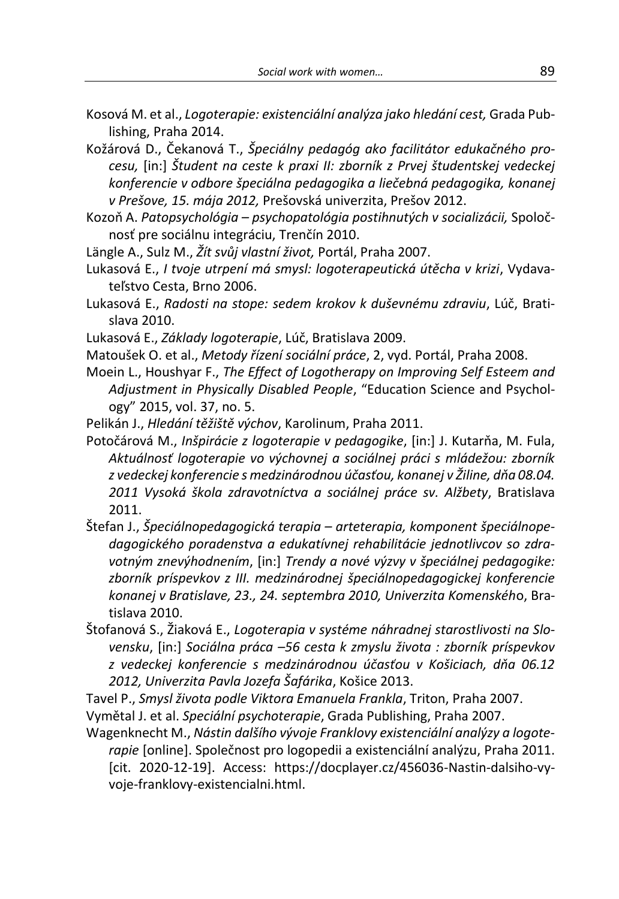- Kosová M. et al., *Logoterapie: existenciální analýza jako hledání cest,* Grada Publishing, Praha 2014.
- Kožárová D., Čekanová T., *Špeciálny pedagóg ako facilitátor edukačného procesu,* [in:] *Študent na ceste k praxi II: zborník z Prvej študentskej vedeckej konferencie v odbore špeciálna pedagogika a liečebná pedagogika, konanej v Prešove, 15. mája 2012,* Prešovská univerzita, Prešov 2012.
- Kozoň A. *Patopsychológia – psychopatológia postihnutých v socializácii,* Spoločnosť pre sociálnu integráciu, Trenčín 2010.
- Längle A., Sulz M., *Žít svůj vlastní život,* Portál, Praha 2007.
- Lukasová E., *I tvoje utrpení má smysl: logoterapeutická útěcha v krizi*, Vydavateľstvo Cesta, Brno 2006.
- Lukasová E., *Radosti na stope: sedem krokov k duševnému zdraviu*, Lúč, Bratislava 2010.
- Lukasová E., *Základy logoterapie*, Lúč, Bratislava 2009.
- Matoušek O. et al., *Metody řízení sociální práce*, 2, vyd. Portál, Praha 2008.
- Moein L., Houshyar F., *The Effect of Logotherapy on Improving Self Esteem and Adjustment in Physically Disabled People*, "Education Science and Psychology" 2015, vol. 37, no. 5.
- Pelikán J., *Hledání těžiště výchov*, Karolinum, Praha 2011.
- Potočárová M., *Inšpirácie z logoterapie v pedagogike*, [in:] J. Kutarňa, M. Fula, *Aktuálnosť logoterapie vo výchovnej a sociálnej práci s mládežou: zborník z vedeckej konferencie s medzinárodnou účasťou, konanej v Žiline, dňa 08.04. 2011 Vysoká škola zdravotníctva a sociálnej práce sv. Alžbety*, Bratislava 2011.
- Štefan J., *Špeciálnopedagogická terapia – arteterapia, komponent špeciálnopedagogického poradenstva a edukatívnej rehabilitácie jednotlivcov so zdravotným znevýhodnením*, [in:] *Trendy a nové výzvy v špeciálnej pedagogike: zborník príspevkov z III. medzinárodnej špeciálnopedagogickej konferencie konanej v Bratislave, 23., 24. septembra 2010, Univerzita Komenskéh*o, Bratislava 2010.
- Štofanová S., Žiaková E., *Logoterapia v systéme náhradnej starostlivosti na Slovensku*, [in:] *Sociálna práca –56 cesta k zmyslu života : zborník príspevkov z vedeckej konferencie s medzinárodnou účasťou v Košiciach, dňa 06.12 2012, Univerzita Pavla Jozefa Šafárika*, Košice 2013.
- Tavel P., *Smysl života podle Viktora Emanuela Frankla*, Triton, Praha 2007.
- Vymětal J. et al. *Speciální psychoterapie*, Grada Publishing, Praha 2007.
- Wagenknecht M., *Nástin dalšího vývoje Franklovy existenciální analýzy a logoterapie* [online]. Společnost pro logopedii a existenciální analýzu, Praha 2011. [cit. 2020-12-19]. Access: https://docplayer.cz/456036-Nastin-dalsiho-vyvoje-franklovy-existencialni.html.